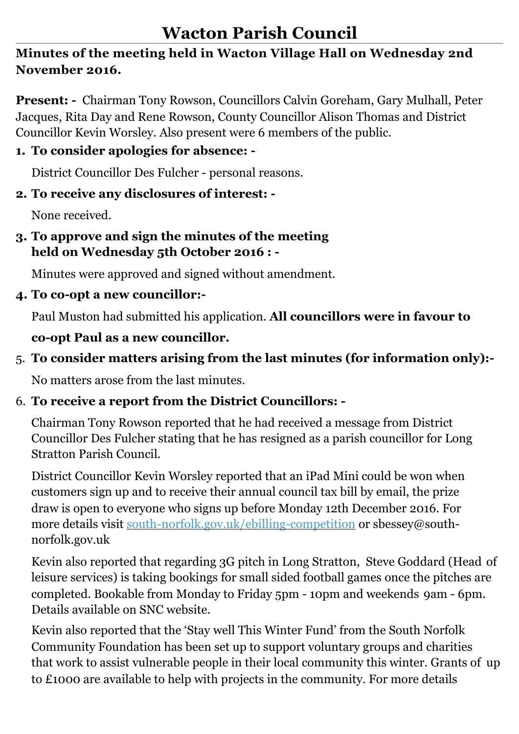### **Minutes of the meeting held in Wacton Village Hall on Wednesday 2nd November 2016.**

**Present: -** Chairman Tony Rowson, Councillors Calvin Goreham, Gary Mulhall, Peter Jacques, Rita Day and Rene Rowson, County Councillor Alison Thomas and District Councillor Kevin Worsley. Also present were 6 members of the public.

### **1. To consider apologies for absence: -**

District Councillor Des Fulcher - personal reasons.

### **2. To receive any disclosures of interest: -**

None received.

### **3. To approve and sign the minutes of the meeting held on Wednesday 5th October 2016 : -**

Minutes were approved and signed without amendment.

### **4. To co-opt a new councillor:-**

Paul Muston had submitted his application. **All councillors were in favour to** 

## **co-opt Paul as a new councillor.**

## 5. **To consider matters arising from the last minutes (for information only):-**

No matters arose from the last minutes.

## 6. **To receive a report from the District Councillors: -**

Chairman Tony Rowson reported that he had received a message from District Councillor Des Fulcher stating that he has resigned as a parish councillor for Long Stratton Parish Council.

District Councillor Kevin Worsley reported that an iPad Mini could be won when customers sign up and to receive their annual council tax bill by email, the prize draw is open to everyone who signs up before Monday 12th December 2016. For more details visit [south-norfolk.gov.uk/ebilling-competition](http://south-norfolk.gov.uk/ebilling-competition) or sbessey@south norfolk.gov.uk

 Kevin also reported that regarding 3G pitch in Long Stratton, Steve Goddard (Head of leisure services) is taking bookings for small sided football games once the pitches are completed. Bookable from Monday to Friday 5pm - 10pm and weekends 9am - 6pm. Details available on SNC website.

 Kevin also reported that the 'Stay well This Winter Fund' from the South Norfolk Community Foundation has been set up to support voluntary groups and charities that work to assist vulnerable people in their local community this winter. Grants of up to £1000 are available to help with projects in the community. For more details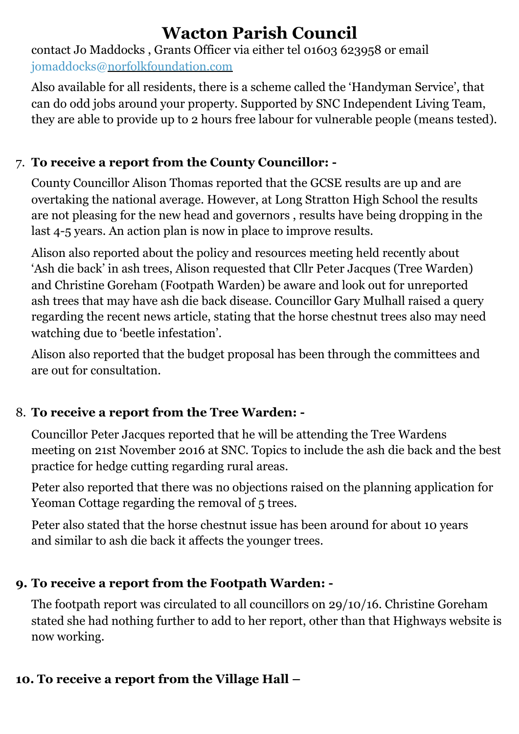contact Jo Maddocks , Grants Officer via either tel 01603 623958 or email jomaddocks@[norfolkfoundation.com](http://norfolkfoundation.com) 

Also available for all residents, there is a scheme called the 'Handyman Service', that can do odd jobs around your property. Supported by SNC Independent Living Team, they are able to provide up to 2 hours free labour for vulnerable people (means tested).

## 7. **To receive a report from the County Councillor: -**

County Councillor Alison Thomas reported that the GCSE results are up and are overtaking the national average. However, at Long Stratton High School the results are not pleasing for the new head and governors , results have being dropping in the last 4-5 years. An action plan is now in place to improve results.

 Alison also reported about the policy and resources meeting held recently about 'Ash die back' in ash trees, Alison requested that Cllr Peter Jacques (Tree Warden) and Christine Goreham (Footpath Warden) be aware and look out for unreported ash trees that may have ash die back disease. Councillor Gary Mulhall raised a query regarding the recent news article, stating that the horse chestnut trees also may need watching due to 'beetle infestation'.

 Alison also reported that the budget proposal has been through the committees and are out for consultation.

## 8. **To receive a report from the Tree Warden: -**

Councillor Peter Jacques reported that he will be attending the Tree Wardens meeting on 21st November 2016 at SNC. Topics to include the ash die back and the best practice for hedge cutting regarding rural areas.

Peter also reported that there was no objections raised on the planning application for Yeoman Cottage regarding the removal of 5 trees.

 Peter also stated that the horse chestnut issue has been around for about 10 years and similar to ash die back it affects the younger trees.

### **9. To receive a report from the Footpath Warden: -**

 The footpath report was circulated to all councillors on 29/10/16. Christine Goreham stated she had nothing further to add to her report, other than that Highways website is now working.

### **10. To receive a report from the Village Hall –**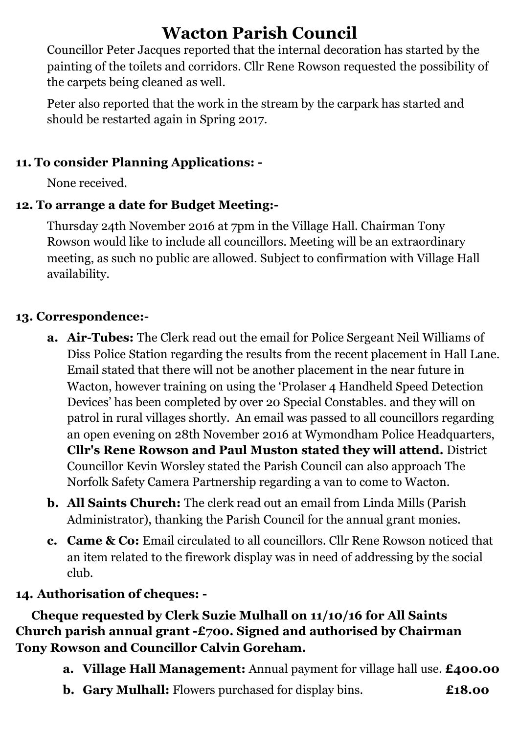**Wacton Parish Council**<br> **Councillor Peter Jacques reported that the internal decoration has started by the**  painting of the toilets and corridors. Cllr Rene Rowson requested the possibility of the carpets being cleaned as well.

 Peter also reported that the work in the stream by the carpark has started and should be restarted again in Spring 2017.

### **11. To consider Planning Applications: -**

None received.

### **12. To arrange a date for Budget Meeting:-**

Thursday 24th November 2016 at 7pm in the Village Hall. Chairman Tony Rowson would like to include all councillors. Meeting will be an extraordinary meeting, as such no public are allowed. Subject to confirmation with Village Hall availability.

### **13. Correspondence:-**

- **a. Air-Tubes:** The Clerk read out the email for Police Sergeant Neil Williams of Diss Police Station regarding the results from the recent placement in Hall Lane. Email stated that there will not be another placement in the near future in Wacton, however training on using the 'Prolaser 4 Handheld Speed Detection Devices' has been completed by over 20 Special Constables. and they will on patrol in rural villages shortly. An email was passed to all councillors regarding an open evening on 28th November 2016 at Wymondham Police Headquarters, **Cllr's Rene Rowson and Paul Muston stated they will attend.** District Councillor Kevin Worsley stated the Parish Council can also approach The Norfolk Safety Camera Partnership regarding a van to come to Wacton.
- **b. All Saints Church:** The clerk read out an email from Linda Mills (Parish Administrator), thanking the Parish Council for the annual grant monies.
- **c. Came & Co:** Email circulated to all councillors. Cllr Rene Rowson noticed that an item related to the firework display was in need of addressing by the social club.

### **14. Authorisation of cheques: -**

**Cheque requested by Clerk Suzie Mulhall on 11/10/16 for All Saints Church parish annual grant -£700. Signed and authorised by Chairman Tony Rowson and Councillor Calvin Goreham.**

- **a. Village Hall Management:** Annual payment for village hall use. **£400.00**
- **b. Gary Mulhall:** Flowers purchased for display bins. **£18.00**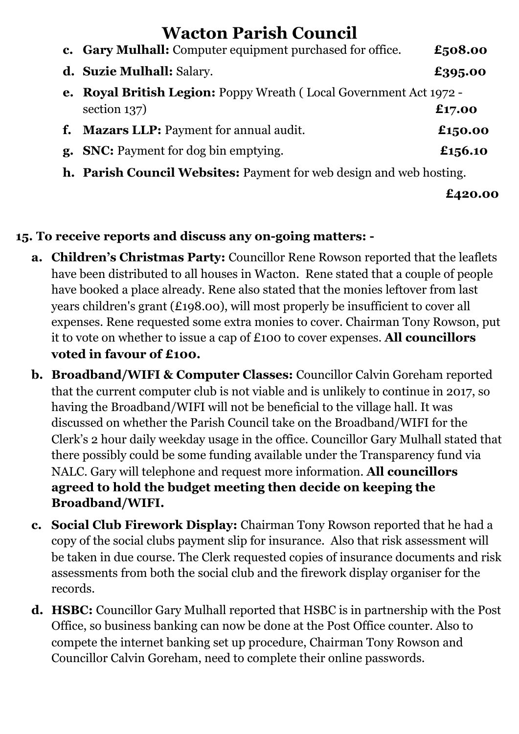|    | c. Gary Mulhall: Computer equipment purchased for office.                              | £508.00 |
|----|----------------------------------------------------------------------------------------|---------|
|    | d. Suzie Mulhall: Salary.                                                              | £395.00 |
| e. | <b>Royal British Legion: Poppy Wreath (Local Government Act 1972 -</b><br>section 137) | £17.00  |
| f. | <b>Mazars LLP: Payment for annual audit.</b>                                           | £150.00 |
|    | <b>g.</b> SNC: Payment for dog bin emptying.                                           | £156.10 |

**h. Parish Council Websites:** Payment for web design and web hosting.

**£420.00**

### **15. To receive reports and discuss any on-going matters: -**

- **a. Children's Christmas Party:** Councillor Rene Rowson reported that the leaflets have been distributed to all houses in Wacton. Rene stated that a couple of people have booked a place already. Rene also stated that the monies leftover from last years children's grant (£198.00), will most properly be insufficient to cover all expenses. Rene requested some extra monies to cover. Chairman Tony Rowson, put it to vote on whether to issue a cap of £100 to cover expenses. **All councillors voted in favour of £100.**
- **b. Broadband/WIFI & Computer Classes:** Councillor Calvin Goreham reported that the current computer club is not viable and is unlikely to continue in 2017, so having the Broadband/WIFI will not be beneficial to the village hall. It was discussed on whether the Parish Council take on the Broadband/WIFI for the Clerk's 2 hour daily weekday usage in the office. Councillor Gary Mulhall stated that there possibly could be some funding available under the Transparency fund via NALC. Gary will telephone and request more information. **All councillors agreed to hold the budget meeting then decide on keeping the Broadband/WIFI.**
- **c. Social Club Firework Display:** Chairman Tony Rowson reported that he had a copy of the social clubs payment slip for insurance. Also that risk assessment will be taken in due course. The Clerk requested copies of insurance documents and risk assessments from both the social club and the firework display organiser for the records.
- **d. HSBC:** Councillor Gary Mulhall reported that HSBC is in partnership with the Post Office, so business banking can now be done at the Post Office counter. Also to compete the internet banking set up procedure, Chairman Tony Rowson and Councillor Calvin Goreham, need to complete their online passwords.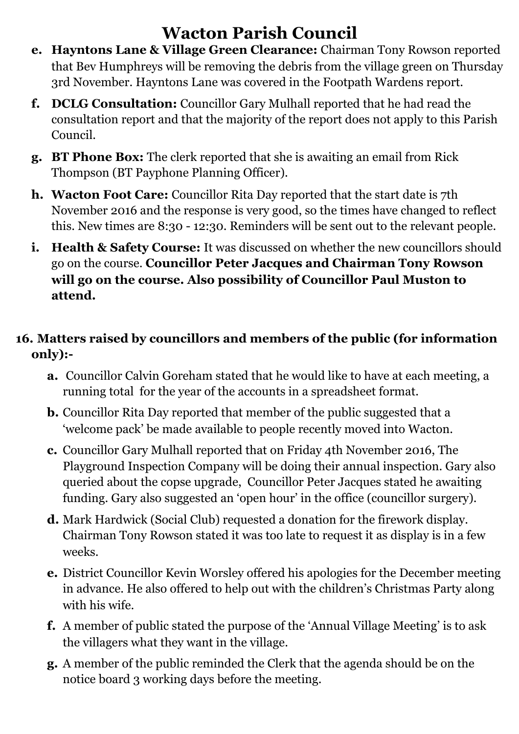- **e. Hayntons Lane & Village Green Clearance:** Chairman Tony Rowson reported that Bev Humphreys will be removing the debris from the village green on Thursday 3rd November. Hayntons Lane was covered in the Footpath Wardens report.
- **f. DCLG Consultation:** Councillor Gary Mulhall reported that he had read the consultation report and that the majority of the report does not apply to this Parish Council.
- **g. BT Phone Box:** The clerk reported that she is awaiting an email from Rick Thompson (BT Payphone Planning Officer).
- **h. Wacton Foot Care:** Councillor Rita Day reported that the start date is 7th November 2016 and the response is very good, so the times have changed to reflect this. New times are 8:30 - 12:30. Reminders will be sent out to the relevant people.
- **i. Health & Safety Course:** It was discussed on whether the new councillors should go on the course. **Councillor Peter Jacques and Chairman Tony Rowson will go on the course. Also possibility of Councillor Paul Muston to attend.**

### **16. Matters raised by councillors and members of the public (for information only):-**

- **a.** Councillor Calvin Goreham stated that he would like to have at each meeting, a running total for the year of the accounts in a spreadsheet format.
- **b.** Councillor Rita Day reported that member of the public suggested that a 'welcome pack' be made available to people recently moved into Wacton.
- **c.** Councillor Gary Mulhall reported that on Friday 4th November 2016, The Playground Inspection Company will be doing their annual inspection. Gary also queried about the copse upgrade, Councillor Peter Jacques stated he awaiting funding. Gary also suggested an 'open hour' in the office (councillor surgery).
- **d.** Mark Hardwick (Social Club) requested a donation for the firework display. Chairman Tony Rowson stated it was too late to request it as display is in a few weeks.
- **e.** District Councillor Kevin Worsley offered his apologies for the December meeting in advance. He also offered to help out with the children's Christmas Party along with his wife.
- **f.** A member of public stated the purpose of the 'Annual Village Meeting' is to ask the villagers what they want in the village.
- **g.** A member of the public reminded the Clerk that the agenda should be on the notice board 3 working days before the meeting.